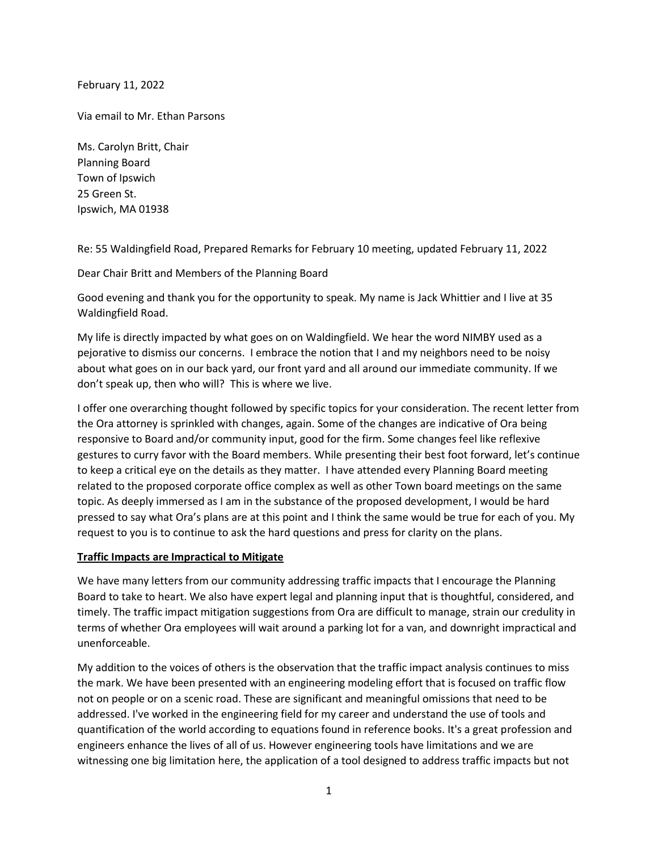February 11, 2022

Via email to Mr. Ethan Parsons

Ms. Carolyn Britt, Chair Planning Board Town of Ipswich 25 Green St. Ipswich, MA 01938

Re: 55 Waldingfield Road, Prepared Remarks for February 10 meeting, updated February 11, 2022

Dear Chair Britt and Members of the Planning Board

Good evening and thank you for the opportunity to speak. My name is Jack Whittier and I live at 35 Waldingfield Road.

My life is directly impacted by what goes on on Waldingfield. We hear the word NIMBY used as a pejorative to dismiss our concerns. I embrace the notion that I and my neighbors need to be noisy about what goes on in our back yard, our front yard and all around our immediate community. If we don't speak up, then who will? This is where we live.

I offer one overarching thought followed by specific topics for your consideration. The recent letter from the Ora attorney is sprinkled with changes, again. Some of the changes are indicative of Ora being responsive to Board and/or community input, good for the firm. Some changes feel like reflexive gestures to curry favor with the Board members. While presenting their best foot forward, let's continue to keep a critical eye on the details as they matter. I have attended every Planning Board meeting related to the proposed corporate office complex as well as other Town board meetings on the same topic. As deeply immersed as I am in the substance of the proposed development, I would be hard pressed to say what Ora's plans are at this point and I think the same would be true for each of you. My request to you is to continue to ask the hard questions and press for clarity on the plans.

## **Traffic Impacts are Impractical to Mitigate**

We have many letters from our community addressing traffic impacts that I encourage the Planning Board to take to heart. We also have expert legal and planning input that is thoughtful, considered, and timely. The traffic impact mitigation suggestions from Ora are difficult to manage, strain our credulity in terms of whether Ora employees will wait around a parking lot for a van, and downright impractical and unenforceable.

My addition to the voices of others is the observation that the traffic impact analysis continues to miss the mark. We have been presented with an engineering modeling effort that is focused on traffic flow not on people or on a scenic road. These are significant and meaningful omissions that need to be addressed. I've worked in the engineering field for my career and understand the use of tools and quantification of the world according to equations found in reference books. It's a great profession and engineers enhance the lives of all of us. However engineering tools have limitations and we are witnessing one big limitation here, the application of a tool designed to address traffic impacts but not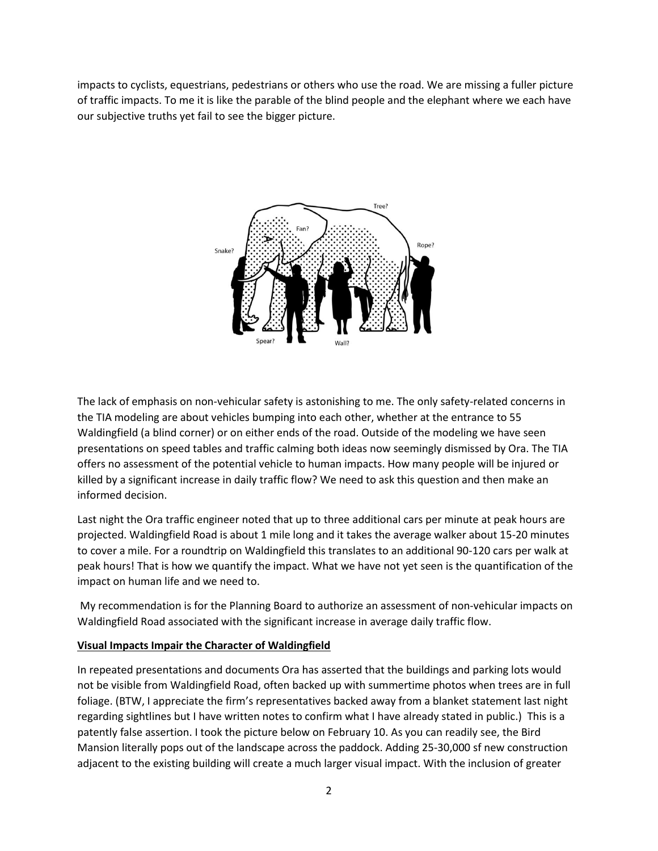impacts to cyclists, equestrians, pedestrians or others who use the road. We are missing a fuller picture of traffic impacts. To me it is like the parable of the blind people and the elephant where we each have our subjective truths yet fail to see the bigger picture.



The lack of emphasis on non-vehicular safety is astonishing to me. The only safety-related concerns in the TIA modeling are about vehicles bumping into each other, whether at the entrance to 55 Waldingfield (a blind corner) or on either ends of the road. Outside of the modeling we have seen presentations on speed tables and traffic calming both ideas now seemingly dismissed by Ora. The TIA offers no assessment of the potential vehicle to human impacts. How many people will be injured or killed by a significant increase in daily traffic flow? We need to ask this question and then make an informed decision.

Last night the Ora traffic engineer noted that up to three additional cars per minute at peak hours are projected. Waldingfield Road is about 1 mile long and it takes the average walker about 15-20 minutes to cover a mile. For a roundtrip on Waldingfield this translates to an additional 90-120 cars per walk at peak hours! That is how we quantify the impact. What we have not yet seen is the quantification of the impact on human life and we need to.

My recommendation is for the Planning Board to authorize an assessment of non-vehicular impacts on Waldingfield Road associated with the significant increase in average daily traffic flow.

## **Visual Impacts Impair the Character of Waldingfield**

In repeated presentations and documents Ora has asserted that the buildings and parking lots would not be visible from Waldingfield Road, often backed up with summertime photos when trees are in full foliage. (BTW, I appreciate the firm's representatives backed away from a blanket statement last night regarding sightlines but I have written notes to confirm what I have already stated in public.) This is a patently false assertion. I took the picture below on February 10. As you can readily see, the Bird Mansion literally pops out of the landscape across the paddock. Adding 25-30,000 sf new construction adjacent to the existing building will create a much larger visual impact. With the inclusion of greater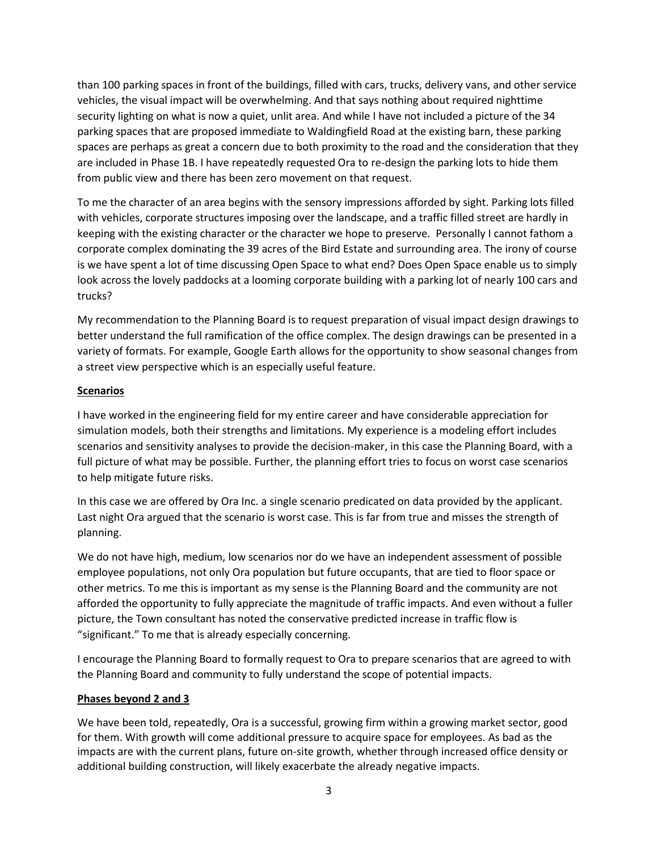than 100 parking spaces in front of the buildings, filled with cars, trucks, delivery vans, and other service vehicles, the visual impact will be overwhelming. And that says nothing about required nighttime security lighting on what is now a quiet, unlit area. And while I have not included a picture of the 34 parking spaces that are proposed immediate to Waldingfield Road at the existing barn, these parking spaces are perhaps as great a concern due to both proximity to the road and the consideration that they are included in Phase 1B. I have repeatedly requested Ora to re-design the parking lots to hide them from public view and there has been zero movement on that request.

To me the character of an area begins with the sensory impressions afforded by sight. Parking lots filled with vehicles, corporate structures imposing over the landscape, and a traffic filled street are hardly in keeping with the existing character or the character we hope to preserve. Personally I cannot fathom a corporate complex dominating the 39 acres of the Bird Estate and surrounding area. The irony of course is we have spent a lot of time discussing Open Space to what end? Does Open Space enable us to simply look across the lovely paddocks at a looming corporate building with a parking lot of nearly 100 cars and trucks?

My recommendation to the Planning Board is to request preparation of visual impact design drawings to better understand the full ramification of the office complex. The design drawings can be presented in a variety of formats. For example, Google Earth allows for the opportunity to show seasonal changes from a street view perspective which is an especially useful feature.

## **Scenarios**

I have worked in the engineering field for my entire career and have considerable appreciation for simulation models, both their strengths and limitations. My experience is a modeling effort includes scenarios and sensitivity analyses to provide the decision-maker, in this case the Planning Board, with a full picture of what may be possible. Further, the planning effort tries to focus on worst case scenarios to help mitigate future risks.

In this case we are offered by Ora Inc. a single scenario predicated on data provided by the applicant. Last night Ora argued that the scenario is worst case. This is far from true and misses the strength of planning.

We do not have high, medium, low scenarios nor do we have an independent assessment of possible employee populations, not only Ora population but future occupants, that are tied to floor space or other metrics. To me this is important as my sense is the Planning Board and the community are not afforded the opportunity to fully appreciate the magnitude of traffic impacts. And even without a fuller picture, the Town consultant has noted the conservative predicted increase in traffic flow is "significant." To me that is already especially concerning.

I encourage the Planning Board to formally request to Ora to prepare scenarios that are agreed to with the Planning Board and community to fully understand the scope of potential impacts.

## **Phases beyond 2 and 3**

We have been told, repeatedly, Ora is a successful, growing firm within a growing market sector, good for them. With growth will come additional pressure to acquire space for employees. As bad as the impacts are with the current plans, future on-site growth, whether through increased office density or additional building construction, will likely exacerbate the already negative impacts.